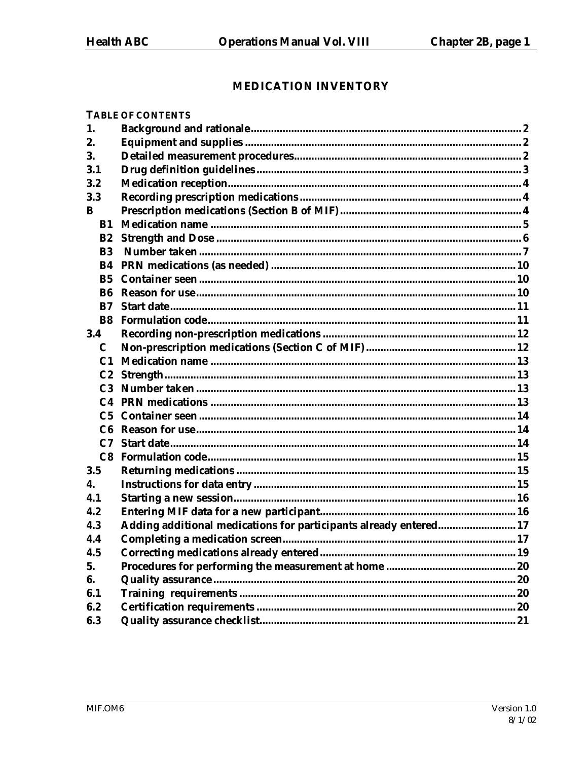# **MEDICATION INVENTORY**

|                       | <b>TABLE OF CONTENTS</b>                                          |  |
|-----------------------|-------------------------------------------------------------------|--|
| 1.                    |                                                                   |  |
| 2.                    |                                                                   |  |
| 3.                    |                                                                   |  |
| 3.1                   |                                                                   |  |
| 3.2                   |                                                                   |  |
| 3.3                   |                                                                   |  |
| B                     |                                                                   |  |
| B1                    |                                                                   |  |
| B2                    |                                                                   |  |
| <b>B3</b>             |                                                                   |  |
| <b>B4</b>             |                                                                   |  |
| <b>B5</b>             |                                                                   |  |
| R6                    |                                                                   |  |
| B7                    |                                                                   |  |
| <b>B</b> <sub>8</sub> |                                                                   |  |
| 3.4                   |                                                                   |  |
| C                     |                                                                   |  |
| C <sub>1</sub>        |                                                                   |  |
|                       |                                                                   |  |
|                       |                                                                   |  |
|                       |                                                                   |  |
|                       |                                                                   |  |
|                       |                                                                   |  |
|                       |                                                                   |  |
| C8                    |                                                                   |  |
| 3.5                   |                                                                   |  |
| 4.                    |                                                                   |  |
| 4.1                   |                                                                   |  |
| 4.2                   |                                                                   |  |
| 4.3                   | Adding additional medications for participants already entered 17 |  |
| 4.4                   |                                                                   |  |
| 4.5                   |                                                                   |  |
| 5.                    |                                                                   |  |
| 6.                    |                                                                   |  |
| 6.1                   |                                                                   |  |
| 6.2                   |                                                                   |  |
| 6.3                   |                                                                   |  |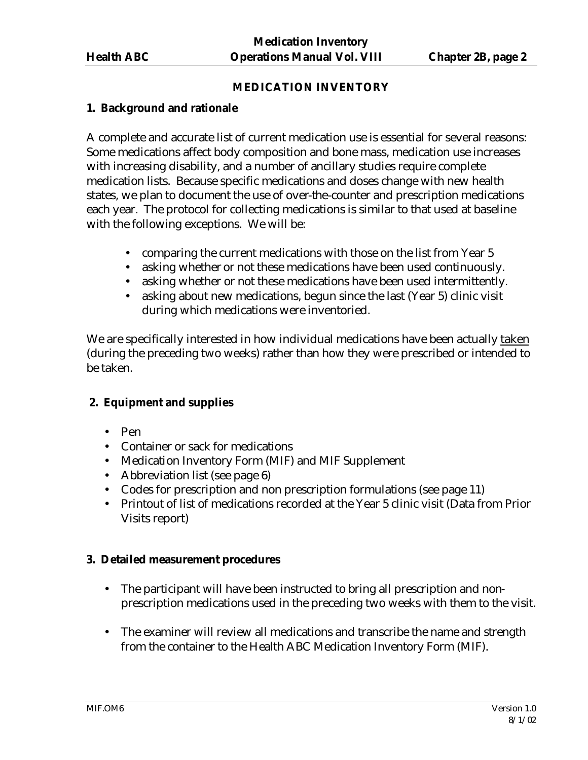## **MEDICATION INVENTORY**

# **1. Background and rationale**

A complete and accurate list of current medication use is essential for several reasons: Some medications affect body composition and bone mass, medication use increases with increasing disability, and a number of ancillary studies require complete medication lists. Because specific medications and doses change with new health states, we plan to document the use of over-the-counter and prescription medications each year. The protocol for collecting medications is similar to that used at baseline with the following exceptions. We will be:

- comparing the current medications with those on the list from Year 5
- asking whether or not these medications have been used continuously.
- asking whether or not these medications have been used intermittently.
- asking about new medications, begun since the last (Year 5) clinic visit during which medications were inventoried.

We are specifically interested in how individual medications have been actually taken (during the preceding two weeks) rather than how they were prescribed or intended to be taken.

# **2. Equipment and supplies**

- Pen
- Container or sack for medications
- Medication Inventory Form (MIF) and MIF Supplement
- Abbreviation list (see page 6)
- Codes for prescription and non prescription formulations (see page 11)
- Printout of list of medications recorded at the Year 5 clinic visit (Data from Prior Visits report)

#### **3. Detailed measurement procedures**

- The participant will have been instructed to bring all prescription and nonprescription medications used in the preceding two weeks with them to the visit.
- The examiner will review all medications and transcribe the name and strength from the container to the Health ABC Medication Inventory Form (MIF).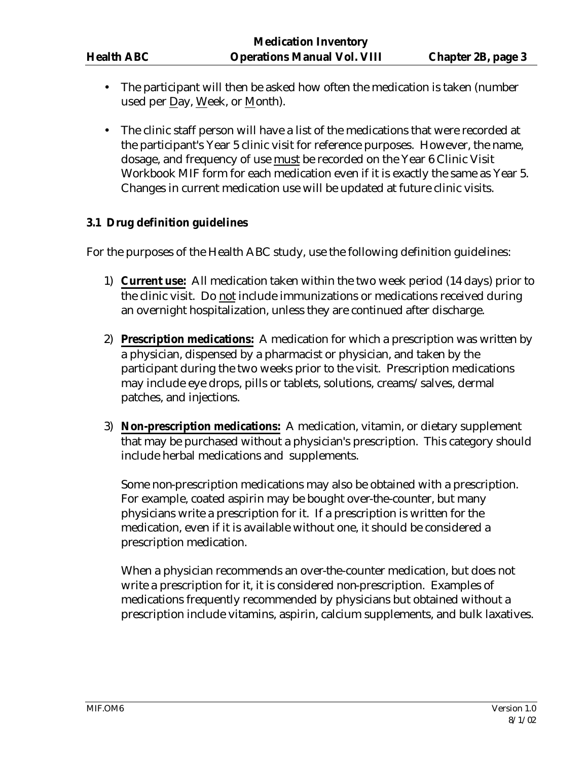- The participant will then be asked how often the medication is taken (number used per Day, Week, or Month).
- The clinic staff person will have a list of the medications that were recorded at the participant's Year 5 clinic visit for reference purposes. However, the name, dosage, and frequency of use must be recorded on the Year 6 Clinic Visit Workbook MIF form for each medication even if it is exactly the same as Year 5. Changes in current medication use will be updated at future clinic visits.

# **3.1 Drug definition guidelines**

For the purposes of the Health ABC study, use the following definition guidelines:

- 1) **Current use:** All medication taken within the two week period (14 days) prior to the clinic visit. Do not include immunizations or medications received during an overnight hospitalization, unless they are continued after discharge.
- 2) **Prescription medications:** A medication for which a prescription was written by a physician, dispensed by a pharmacist or physician, and taken by the participant during the two weeks prior to the visit. Prescription medications may include eye drops, pills or tablets, solutions, creams/salves, dermal patches, and injections.
- 3) **Non-prescription medications:** A medication, vitamin, or dietary supplement that may be purchased without a physician's prescription. This category should include herbal medications and supplements.

Some non-prescription medications may also be obtained with a prescription. For example, coated aspirin may be bought over-the-counter, but many physicians write a prescription for it. If a prescription is written for the medication, even if it is available without one, it should be considered a prescription medication.

When a physician recommends an over-the-counter medication, but does not write a prescription for it, it is considered non-prescription. Examples of medications frequently recommended by physicians but obtained without a prescription include vitamins, aspirin, calcium supplements, and bulk laxatives.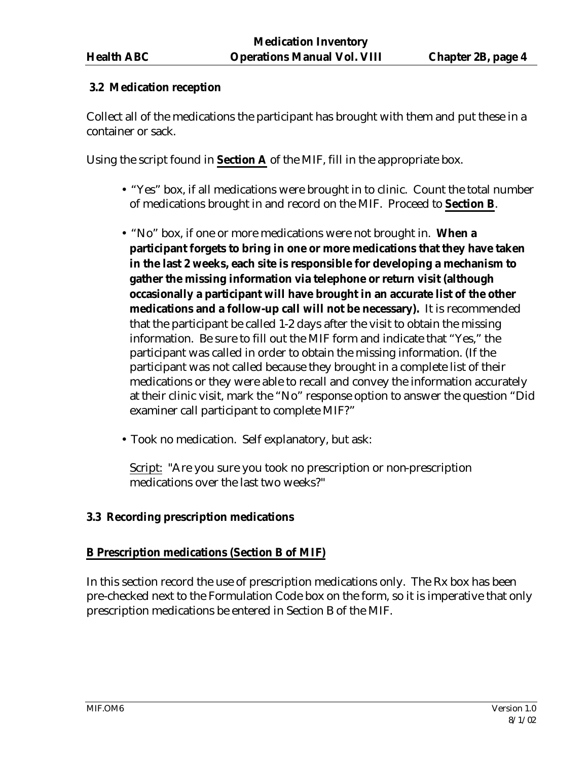# **3.2 Medication reception**

Collect all of the medications the participant has brought with them and put these in a container or sack.

Using the script found in **Section A** of the MIF, fill in the appropriate box.

- "Yes" box, if all medications were brought in to clinic. Count the total number of medications brought in and record on the MIF. Proceed to **Section B**.
- "No" box, if one or more medications were not brought in. **When a participant forgets to bring in one or more medications that they have taken in the last 2 weeks, each site is responsible for developing a mechanism to gather the missing information via telephone or return visit (although occasionally a participant will have brought in an accurate list of the other medications and a follow-up call will not be necessary).** It is recommended that the participant be called 1-2 days after the visit to obtain the missing information. Be sure to fill out the MIF form and indicate that "Yes," the participant was called in order to obtain the missing information. (If the participant was not called because they brought in a complete list of their medications or they were able to recall and convey the information accurately at their clinic visit, mark the "No" response option to answer the question "Did examiner call participant to complete MIF?"
- Took no medication. Self explanatory, but ask:

Script: "Are you sure you took no prescription or non-prescription medications over the last two weeks?"

# **3.3 Recording prescription medications**

# **B Prescription medications (Section B of MIF)**

In this section record the use of prescription medications only. The Rx box has been pre-checked next to the Formulation Code box on the form, so it is imperative that only prescription medications be entered in Section B of the MIF.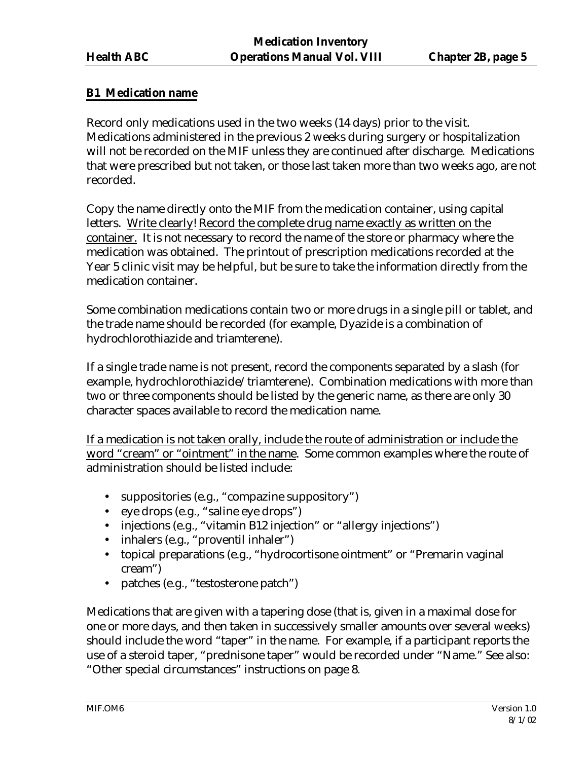# **B1 Medication name**

Record only medications used in the two weeks (14 days) prior to the visit. Medications administered in the previous 2 weeks during surgery or hospitalization will not be recorded on the MIF unless they are continued after discharge. Medications that were prescribed but not taken, or those last taken more than two weeks ago, are not recorded.

Copy the name directly onto the MIF from the medication container, using capital letters. Write clearly! Record the complete drug name exactly as written on the container. It is not necessary to record the name of the store or pharmacy where the medication was obtained. The printout of prescription medications recorded at the Year 5 clinic visit may be helpful, but be sure to take the information directly from the medication container.

Some combination medications contain two or more drugs in a single pill or tablet, and the trade name should be recorded (for example, Dyazide is a combination of hydrochlorothiazide and triamterene).

If a single trade name is not present, record the components separated by a slash (for example, hydrochlorothiazide/triamterene). Combination medications with more than two or three components should be listed by the generic name, as there are only 30 character spaces available to record the medication name.

If a medication is not taken orally, include the route of administration or include the word "cream" or "ointment" in the name. Some common examples where the route of administration should be listed include:

- suppositories (e.g., "compazine suppository")
- eye drops (e.g., "saline eye drops")
- injections (e.g., "vitamin B12 injection" or "allergy injections")
- inhalers (e.g., "proventil inhaler")
- topical preparations (e.g., "hydrocortisone ointment" or "Premarin vaginal" cream")
- patches (e.g., "testosterone patch")

Medications that are given with a tapering dose (that is, given in a maximal dose for one or more days, and then taken in successively smaller amounts over several weeks) should include the word "taper" in the name. For example, if a participant reports the use of a steroid taper, "prednisone taper" would be recorded under "Name." See also: "Other special circumstances" instructions on page 8.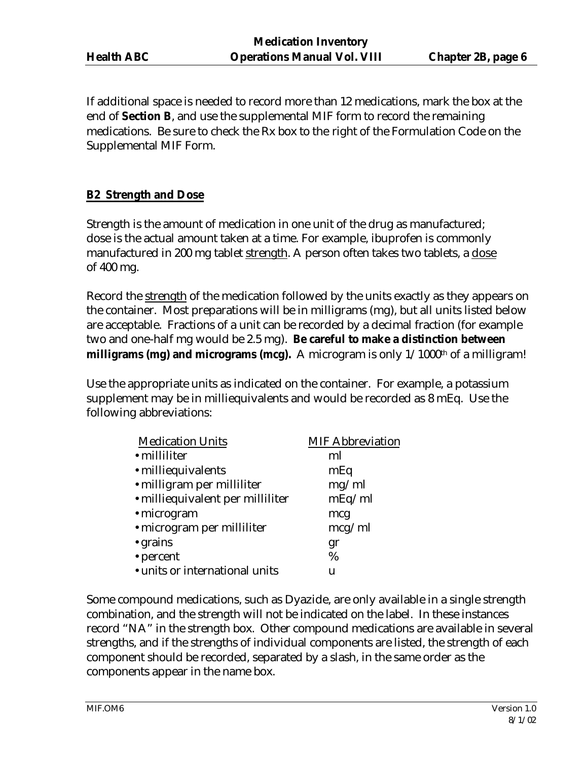If additional space is needed to record more than 12 medications, mark the box at the end of **Section B**, and use the supplemental MIF form to record the remaining medications. Be sure to check the Rx box to the right of the Formulation Code on the Supplemental MIF Form.

# **B2 Strength and Dose**

Strength is the amount of medication in one unit of the drug as manufactured; dose is the actual amount taken at a time. For example, ibuprofen is commonly manufactured in 200 mg tablet strength. A person often takes two tablets, a dose of 400 mg.

Record the strength of the medication followed by the units exactly as they appears on the container. Most preparations will be in milligrams (mg), but all units listed below are acceptable. Fractions of a unit can be recorded by a decimal fraction (for example two and one-half mg would be 2.5 mg). **Be careful to make a distinction between milligrams (mg) and micrograms (mcg).** A microgram is only  $1/1000<sup>th</sup>$  of a milligram!

Use the appropriate units as indicated on the container. For example, a potassium supplement may be in milliequivalents and would be recorded as 8 mEq. Use the following abbreviations:

| <b>Medication Units</b>          | <b>MIF Abbreviation</b> |
|----------------------------------|-------------------------|
| • milliliter                     | ml                      |
| · milliequivalents               | mEq                     |
| · milligram per milliliter       | mg/ml                   |
| · milliequivalent per milliliter | mEq/ml                  |
| • microgram                      | mcg                     |
| · microgram per milliliter       | mcg/ml                  |
| • grains                         | gr                      |
| • percent                        | %                       |
| • units or international units   | u                       |

Some compound medications, such as Dyazide, are only available in a single strength combination, and the strength will not be indicated on the label. In these instances record "NA" in the strength box. Other compound medications are available in several strengths, and if the strengths of individual components are listed, the strength of each component should be recorded, separated by a slash, in the same order as the components appear in the name box.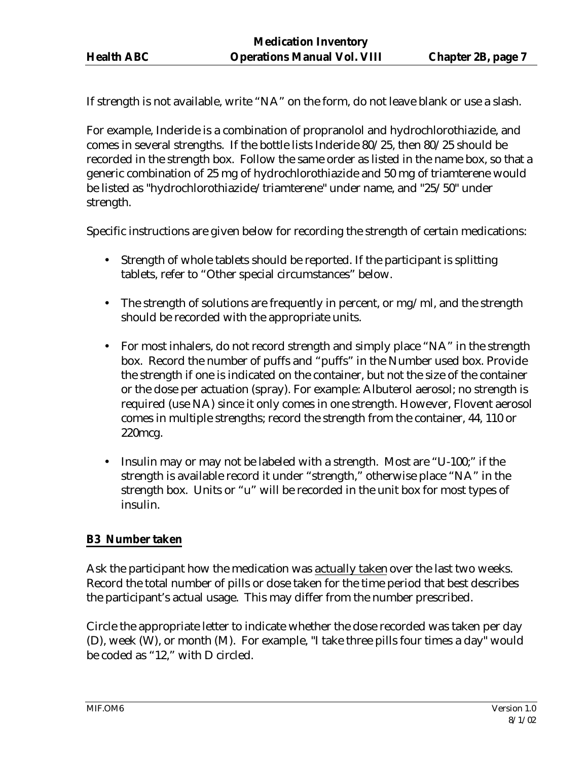If strength is not available, write "NA" on the form, do not leave blank or use a slash.

For example, Inderide is a combination of propranolol and hydrochlorothiazide, and comes in several strengths. If the bottle lists Inderide 80/25, then 80/25 should be recorded in the strength box. Follow the same order as listed in the name box, so that a generic combination of 25 mg of hydrochlorothiazide and 50 mg of triamterene would be listed as "hydrochlorothiazide/triamterene" under name, and "25/50" under strength.

Specific instructions are given below for recording the strength of certain medications:

- Strength of whole tablets should be reported. If the participant is splitting tablets, refer to "Other special circumstances" below.
- The strength of solutions are frequently in percent, or mg/ml, and the strength should be recorded with the appropriate units.
- For most inhalers, do not record strength and simply place "NA" in the strength box. Record the number of puffs and "puffs" in the Number used box. Provide the strength if one is indicated on the container, but not the size of the container or the dose per actuation (spray). For example: Albuterol aerosol; no strength is required (use NA) since it only comes in one strength. However, Flovent aerosol comes in multiple strengths; record the strength from the container, 44, 110 or 220mcg.
- Insulin may or may not be labeled with a strength. Most are "U-100;" if the strength is available record it under "strength," otherwise place "NA" in the strength box. Units or "u" will be recorded in the unit box for most types of insulin.

# **B3 Number taken**

Ask the participant how the medication was actually taken over the last two weeks. Record the total number of pills or dose taken for the time period that best describes the participant's actual usage. This may differ from the number prescribed.

Circle the appropriate letter to indicate whether the dose recorded was taken per day (D), week (W), or month (M). For example, "I take three pills four times a day" would be coded as "12," with D circled.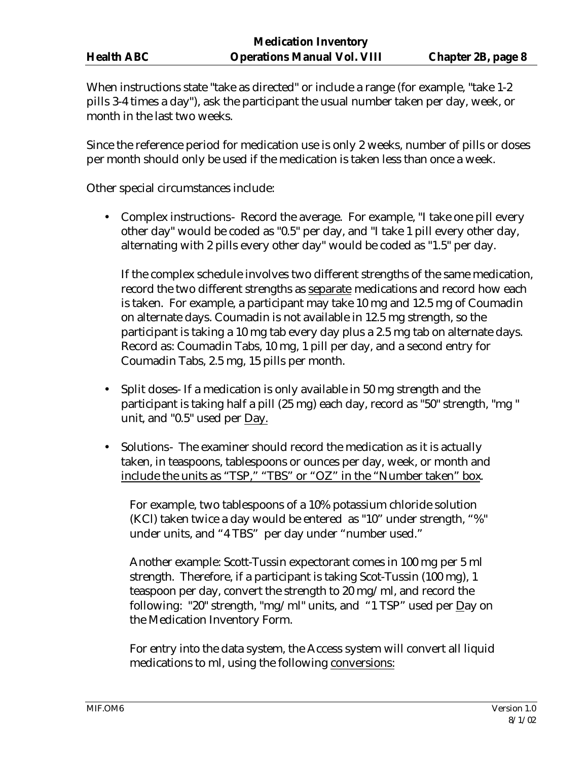When instructions state "take as directed" or include a range (for example, "take 1-2 pills 3-4 times a day"), ask the participant the usual number taken per day, week, or month in the last two weeks.

Since the reference period for medication use is only 2 weeks, number of pills or doses per month should only be used if the medication is taken less than once a week.

Other special circumstances include:

• Complex instructions- Record the average. For example, "I take one pill every other day" would be coded as "0.5" per day, and "I take 1 pill every other day, alternating with 2 pills every other day" would be coded as "1.5" per day.

If the complex schedule involves two different strengths of the same medication, record the two different strengths as separate medications and record how each is taken. For example, a participant may take 10 mg and 12.5 mg of Coumadin on alternate days. Coumadin is not available in 12.5 mg strength, so the participant is taking a 10 mg tab every day plus a 2.5 mg tab on alternate days. Record as: Coumadin Tabs, 10 mg, 1 pill per day, and a second entry for Coumadin Tabs, 2.5 mg, 15 pills per month.

- Split doses- If a medication is only available in 50 mg strength and the participant is taking half a pill (25 mg) each day, record as "50" strength, "mg " unit, and "0.5" used per Day.
- Solutions- The examiner should record the medication as it is actually taken, in teaspoons, tablespoons or ounces per day, week, or month and include the units as "TSP," "TBS" or "OZ" in the "Number taken" box.

For example, two tablespoons of a 10% potassium chloride solution (KCl) taken twice a day would be entered as "10" under strength, "%" under units, and "4 TBS" per day under "number used."

Another example: Scott-Tussin expectorant comes in 100 mg per 5 ml strength. Therefore, if a participant is taking Scot-Tussin (100 mg), 1 teaspoon per day, convert the strength to 20 mg/ml, and record the following: "20" strength, "mg/ml" units, and "1 TSP" used per Day on the Medication Inventory Form.

For entry into the data system, the Access system will convert all liquid medications to ml, using the following conversions: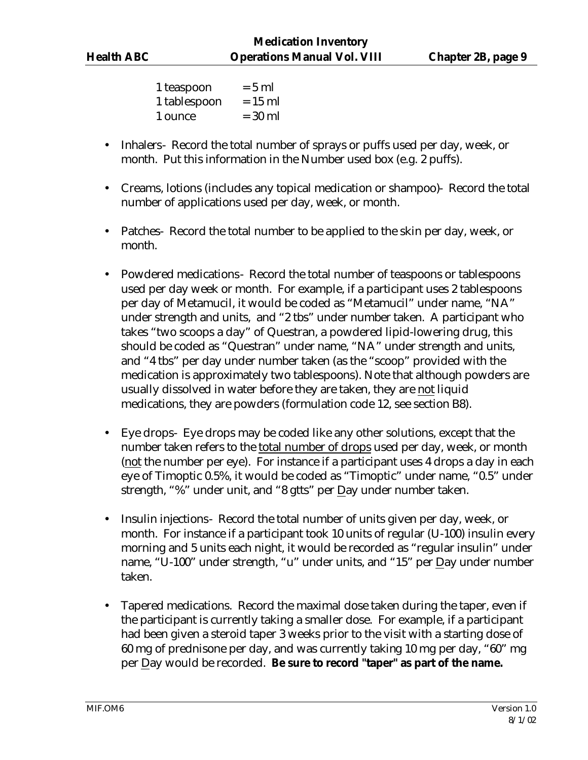| 1 teaspoon   | $= 5$ ml  |
|--------------|-----------|
| 1 tablespoon | $= 15$ ml |
| 1 ounce      | $= 30$ ml |

- Inhalers- Record the total number of sprays or puffs used per day, week, or month. Put this information in the Number used box (e.g. 2 puffs).
- Creams, lotions (includes any topical medication or shampoo)- Record the total number of applications used per day, week, or month.
- Patches- Record the total number to be applied to the skin per day, week, or month.
- Powdered medications- Record the total number of teaspoons or tablespoons used per day week or month. For example, if a participant uses 2 tablespoons per day of Metamucil, it would be coded as "Metamucil" under name, "NA" under strength and units, and "2 tbs" under number taken. A participant who takes "two scoops a day" of Questran, a powdered lipid-lowering drug, this should be coded as "Questran" under name, "NA" under strength and units, and "4 tbs" per day under number taken (as the "scoop" provided with the medication is approximately two tablespoons). Note that although powders are usually dissolved in water before they are taken, they are not liquid medications, they are powders (formulation code 12, see section B8).
- Eye drops- Eye drops may be coded like any other solutions, except that the number taken refers to the total number of drops used per day, week, or month (not the number per eye). For instance if a participant uses 4 drops a day in each eye of Timoptic 0.5%, it would be coded as "Timoptic" under name, "0.5" under strength, "%" under unit, and "8 gtts" per Day under number taken.
- Insulin injections- Record the total number of units given per day, week, or month. For instance if a participant took 10 units of regular (U-100) insulin every morning and 5 units each night, it would be recorded as "regular insulin" under name, "U-100" under strength, "u" under units, and "15" per Day under number taken.
- Tapered medications. Record the maximal dose taken during the taper, even if the participant is currently taking a smaller dose. For example, if a participant had been given a steroid taper 3 weeks prior to the visit with a starting dose of 60 mg of prednisone per day, and was currently taking 10 mg per day, "60" mg per Day would be recorded. **Be sure to record "taper" as part of the name.**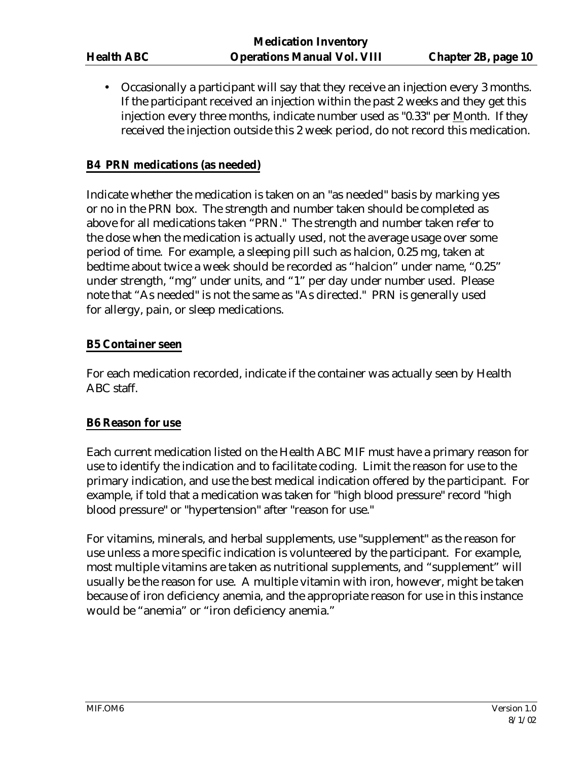• Occasionally a participant will say that they receive an injection every 3 months. If the participant received an injection within the past 2 weeks and they get this injection every three months, indicate number used as "0.33" per Month. If they received the injection outside this 2 week period, do not record this medication.

### **B4 PRN medications (as needed)**

Indicate whether the medication is taken on an "as needed" basis by marking yes or no in the PRN box. The strength and number taken should be completed as above for all medications taken "PRN." The strength and number taken refer to the dose when the medication is actually used, not the average usage over some period of time. For example, a sleeping pill such as halcion, 0.25 mg, taken at bedtime about twice a week should be recorded as "halcion" under name, "0.25" under strength, "mg" under units, and "1" per day under number used. Please note that "As needed" is not the same as "As directed." PRN is generally used for allergy, pain, or sleep medications.

# **B5 Container seen**

For each medication recorded, indicate if the container was actually seen by Health ABC staff.

#### **B6 Reason for use**

Each current medication listed on the Health ABC MIF must have a primary reason for use to identify the indication and to facilitate coding. Limit the reason for use to the primary indication, and use the best medical indication offered by the participant. For example, if told that a medication was taken for "high blood pressure" record "high blood pressure" or "hypertension" after "reason for use."

For vitamins, minerals, and herbal supplements, use "supplement" as the reason for use unless a more specific indication is volunteered by the participant. For example, most multiple vitamins are taken as nutritional supplements, and "supplement" will usually be the reason for use. A multiple vitamin with iron, however, might be taken because of iron deficiency anemia, and the appropriate reason for use in this instance would be "anemia" or "iron deficiency anemia."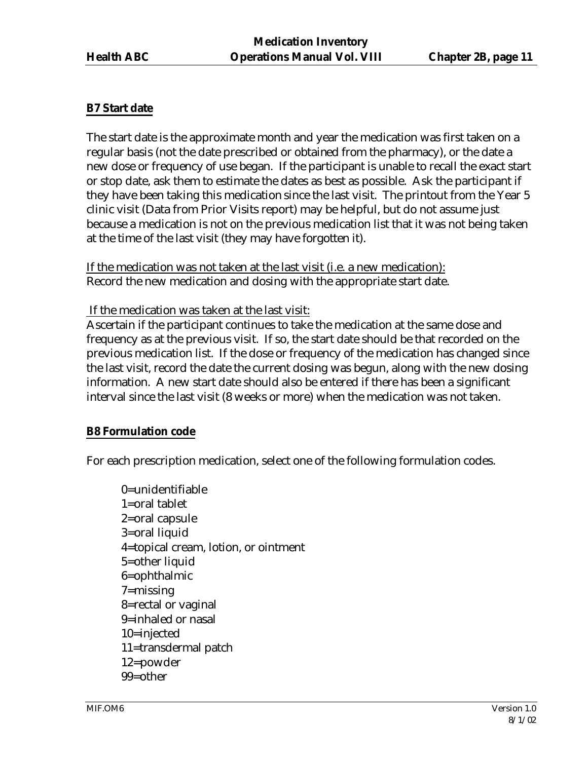#### **B7 Start date**

The start date is the approximate month and year the medication was first taken on a regular basis (not the date prescribed or obtained from the pharmacy), or the date a new dose or frequency of use began. If the participant is unable to recall the exact start or stop date, ask them to estimate the dates as best as possible. Ask the participant if they have been taking this medication since the last visit. The printout from the Year 5 clinic visit (Data from Prior Visits report) may be helpful, but do not assume just because a medication is not on the previous medication list that it was not being taken at the time of the last visit (they may have forgotten it).

If the medication was not taken at the last visit (i.e. a new medication): Record the new medication and dosing with the appropriate start date.

If the medication was taken at the last visit:

Ascertain if the participant continues to take the medication at the same dose and frequency as at the previous visit. If so, the start date should be that recorded on the previous medication list. If the dose or frequency of the medication has changed since the last visit, record the date the current dosing was begun, along with the new dosing information. A new start date should also be entered if there has been a significant interval since the last visit (8 weeks or more) when the medication was not taken.

#### **B8 Formulation code**

For each prescription medication, select one of the following formulation codes.

0=unidentifiable 1=oral tablet 2=oral capsule 3=oral liquid 4=topical cream, lotion, or ointment 5=other liquid 6=ophthalmic 7=missing 8=rectal or vaginal 9=inhaled or nasal 10=injected 11=transdermal patch 12=powder 99=other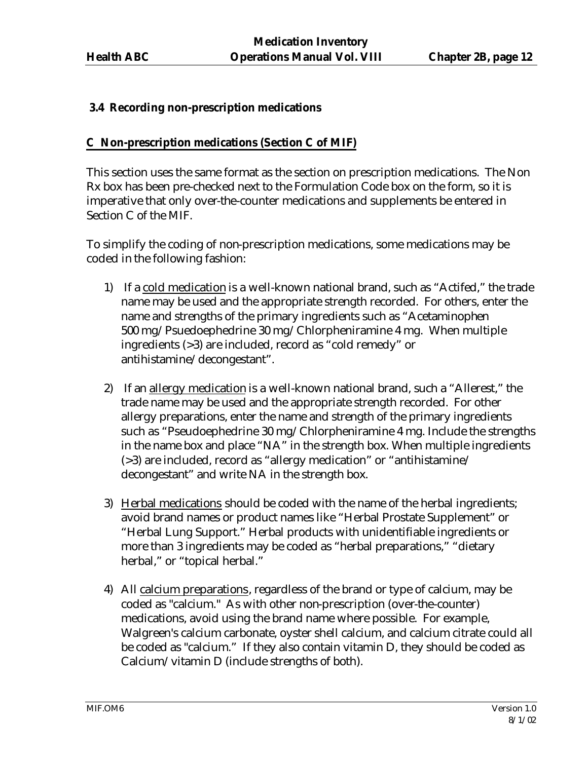# **3.4 Recording non-prescription medications**

### **C Non-prescription medications (Section C of MIF)**

This section uses the same format as the section on prescription medications. The Non Rx box has been pre-checked next to the Formulation Code box on the form, so it is imperative that only over-the-counter medications and supplements be entered in Section C of the MIF.

To simplify the coding of non-prescription medications, some medications may be coded in the following fashion:

- 1) If a cold medication is a well-known national brand, such as "Actifed," the trade name may be used and the appropriate strength recorded. For others, enter the name and strengths of the primary ingredients such as "Acetaminophen 500 mg/Psuedoephedrine 30 mg/Chlorpheniramine 4 mg. When multiple ingredients (>3) are included, record as "cold remedy" or antihistamine/decongestant".
- 2) If an allergy medication is a well-known national brand, such a "Allerest," the trade name may be used and the appropriate strength recorded. For other allergy preparations, enter the name and strength of the primary ingredients such as "Pseudoephedrine 30 mg/Chlorpheniramine 4 mg. Include the strengths in the name box and place "NA" in the strength box. When multiple ingredients (>3) are included, record as "allergy medication" or "antihistamine/ decongestant" and write NA in the strength box.
- 3) Herbal medications should be coded with the name of the herbal ingredients; avoid brand names or product names like "Herbal Prostate Supplement" or "Herbal Lung Support." Herbal products with unidentifiable ingredients or more than 3 ingredients may be coded as "herbal preparations," "dietary herbal," or "topical herbal."
- 4) All calcium preparations, regardless of the brand or type of calcium, may be coded as "calcium." As with other non-prescription (over-the-counter) medications, avoid using the brand name where possible. For example, Walgreen's calcium carbonate, oyster shell calcium, and calcium citrate could all be coded as "calcium." If they also contain vitamin D, they should be coded as Calcium/vitamin D (include strengths of both).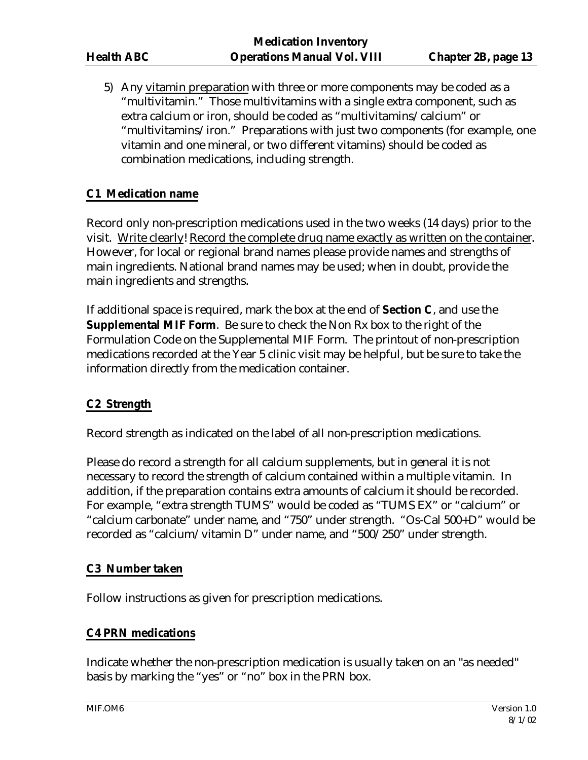5) Any vitamin preparation with three or more components may be coded as a "multivitamin." Those multivitamins with a single extra component, such as extra calcium or iron, should be coded as "multivitamins/calcium" or "multivitamins/iron." Preparations with just two components (for example, one vitamin and one mineral, or two different vitamins) should be coded as combination medications, including strength.

# **C1 Medication name**

Record only non-prescription medications used in the two weeks (14 days) prior to the visit. Write clearly! Record the complete drug name exactly as written on the container. However, for local or regional brand names please provide names and strengths of main ingredients. National brand names may be used; when in doubt, provide the main ingredients and strengths.

If additional space is required, mark the box at the end of **Section C**, and use the **Supplemental MIF Form**. Be sure to check the Non Rx box to the right of the Formulation Code on the Supplemental MIF Form. The printout of non-prescription medications recorded at the Year 5 clinic visit may be helpful, but be sure to take the information directly from the medication container.

#### **C2 Strength**

Record strength as indicated on the label of all non-prescription medications.

Please do record a strength for all calcium supplements, but in general it is not necessary to record the strength of calcium contained within a multiple vitamin. In addition, if the preparation contains extra amounts of calcium it should be recorded. For example, "extra strength TUMS" would be coded as "TUMS EX" or "calcium" or "calcium carbonate" under name, and "750" under strength. "Os-Cal 500+D" would be recorded as "calcium/vitamin D" under name, and "500/250" under strength.

#### **C3 Number taken**

Follow instructions as given for prescription medications.

# **C4 PRN medications**

Indicate whether the non-prescription medication is usually taken on an "as needed" basis by marking the "yes" or "no" box in the PRN box.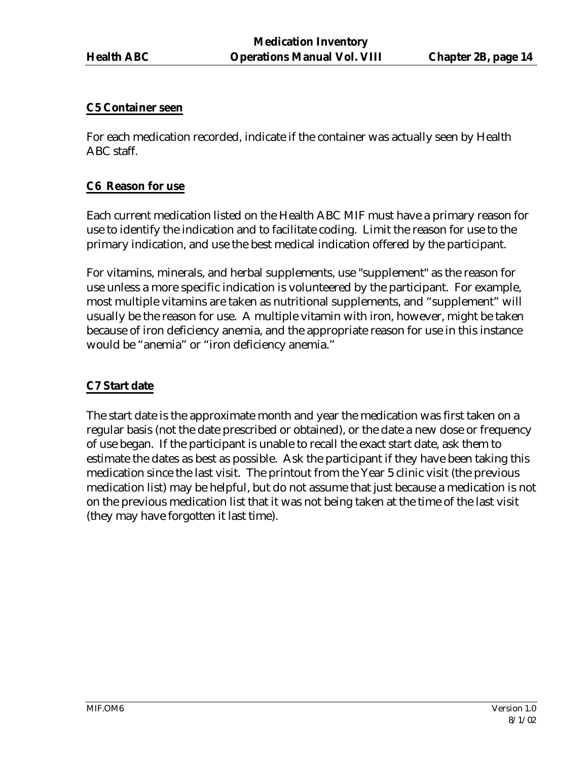#### **C5 Container seen**

For each medication recorded, indicate if the container was actually seen by Health ABC staff.

#### **C6 Reason for use**

Each current medication listed on the Health ABC MIF must have a primary reason for use to identify the indication and to facilitate coding. Limit the reason for use to the primary indication, and use the best medical indication offered by the participant.

For vitamins, minerals, and herbal supplements, use "supplement" as the reason for use unless a more specific indication is volunteered by the participant. For example, most multiple vitamins are taken as nutritional supplements, and "supplement" will usually be the reason for use. A multiple vitamin with iron, however, might be taken because of iron deficiency anemia, and the appropriate reason for use in this instance would be "anemia" or "iron deficiency anemia."

#### **C7 Start date**

The start date is the approximate month and year the medication was first taken on a regular basis (not the date prescribed or obtained), or the date a new dose or frequency of use began. If the participant is unable to recall the exact start date, ask them to estimate the dates as best as possible. Ask the participant if they have been taking this medication since the last visit. The printout from the Year 5 clinic visit (the previous medication list) may be helpful, but do not assume that just because a medication is not on the previous medication list that it was not being taken at the time of the last visit (they may have forgotten it last time).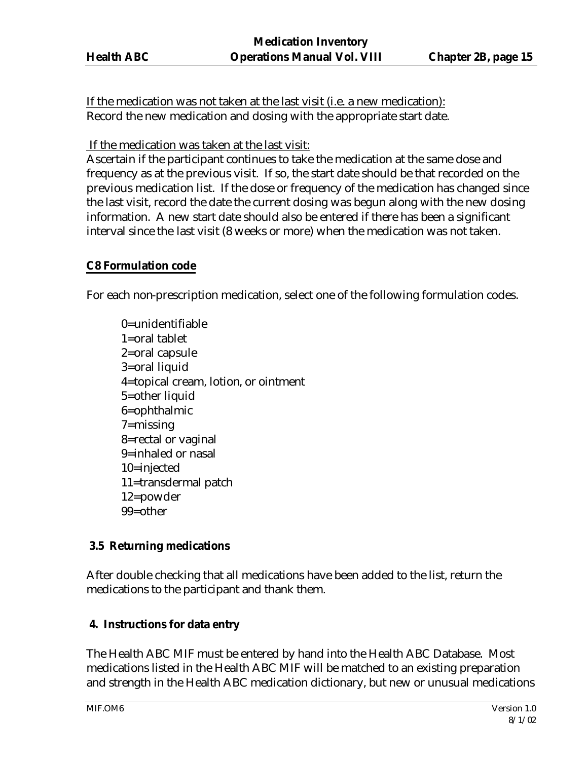If the medication was not taken at the last visit (i.e. a new medication): Record the new medication and dosing with the appropriate start date.

If the medication was taken at the last visit:

Ascertain if the participant continues to take the medication at the same dose and frequency as at the previous visit. If so, the start date should be that recorded on the previous medication list. If the dose or frequency of the medication has changed since the last visit, record the date the current dosing was begun along with the new dosing information. A new start date should also be entered if there has been a significant interval since the last visit (8 weeks or more) when the medication was not taken.

# **C8 Formulation code**

For each non-prescription medication, select one of the following formulation codes.

0=unidentifiable 1=oral tablet 2=oral capsule 3=oral liquid 4=topical cream, lotion, or ointment 5=other liquid 6=ophthalmic 7=missing 8=rectal or vaginal 9=inhaled or nasal 10=injected 11=transdermal patch 12=powder 99=other

# **3.5 Returning medications**

After double checking that all medications have been added to the list, return the medications to the participant and thank them.

# **4. Instructions for data entry**

The Health ABC MIF must be entered by hand into the Health ABC Database. Most medications listed in the Health ABC MIF will be matched to an existing preparation and strength in the Health ABC medication dictionary, but new or unusual medications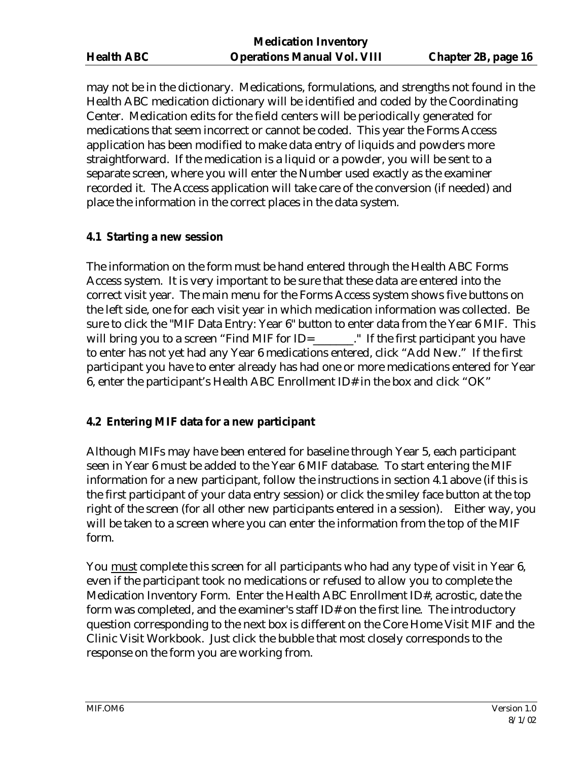may not be in the dictionary. Medications, formulations, and strengths not found in the Health ABC medication dictionary will be identified and coded by the Coordinating Center. Medication edits for the field centers will be periodically generated for medications that seem incorrect or cannot be coded. This year the Forms Access application has been modified to make data entry of liquids and powders more straightforward. If the medication is a liquid or a powder, you will be sent to a separate screen, where you will enter the Number used exactly as the examiner recorded it. The Access application will take care of the conversion (if needed) and place the information in the correct places in the data system.

# **4.1 Starting a new session**

The information on the form must be hand entered through the Health ABC Forms Access system. It is very important to be sure that these data are entered into the correct visit year. The main menu for the Forms Access system shows five buttons on the left side, one for each visit year in which medication information was collected. Be sure to click the "MIF Data Entry: Year 6" button to enter data from the Year 6 MIF. This will bring you to a screen "Find MIF for ID=\_\_\_\_\_\_." If the first participant you have to enter has not yet had any Year 6 medications entered, click "Add New." If the first participant you have to enter already has had one or more medications entered for Year 6, enter the participant's Health ABC Enrollment ID# in the box and click "OK"

# **4.2 Entering MIF data for a new participant**

Although MIFs may have been entered for baseline through Year 5, each participant seen in Year 6 must be added to the Year 6 MIF database. To start entering the MIF information for a new participant, follow the instructions in section 4.1 above (if this is the first participant of your data entry session) or click the smiley face button at the top right of the screen (for all other new participants entered in a session). Either way, you will be taken to a screen where you can enter the information from the top of the MIF form.

You must complete this screen for all participants who had any type of visit in Year 6, even if the participant took no medications or refused to allow you to complete the Medication Inventory Form. Enter the Health ABC Enrollment ID#, acrostic, date the form was completed, and the examiner's staff ID# on the first line. The introductory question corresponding to the next box is different on the Core Home Visit MIF and the Clinic Visit Workbook. Just click the bubble that most closely corresponds to the response on the form you are working from.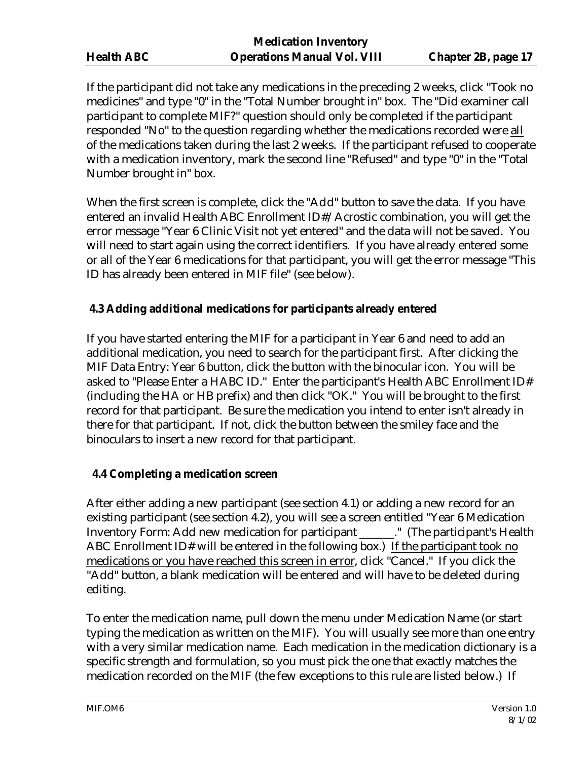If the participant did not take any medications in the preceding 2 weeks, click "Took no medicines" and type "0" in the "Total Number brought in" box. The "Did examiner call participant to complete MIF?" question should only be completed if the participant responded "No" to the question regarding whether the medications recorded were all of the medications taken during the last 2 weeks. If the participant refused to cooperate with a medication inventory, mark the second line "Refused" and type "0" in the "Total Number brought in" box.

When the first screen is complete, click the "Add" button to save the data. If you have entered an invalid Health ABC Enrollment ID#/Acrostic combination, you will get the error message "Year 6 Clinic Visit not yet entered" and the data will not be saved. You will need to start again using the correct identifiers. If you have already entered some or all of the Year 6 medications for that participant, you will get the error message "This ID has already been entered in MIF file" (see below).

# **4.3 Adding additional medications for participants already entered**

If you have started entering the MIF for a participant in Year 6 and need to add an additional medication, you need to search for the participant first. After clicking the MIF Data Entry: Year 6 button, click the button with the binocular icon. You will be asked to "Please Enter a HABC ID." Enter the participant's Health ABC Enrollment ID# (including the HA or HB prefix) and then click "OK." You will be brought to the first record for that participant. Be sure the medication you intend to enter isn't already in there for that participant. If not, click the button between the smiley face and the binoculars to insert a new record for that participant.

# **4.4 Completing a medication screen**

After either adding a new participant (see section 4.1) or adding a new record for an existing participant (see section 4.2), you will see a screen entitled "Year 6 Medication Inventory Form: Add new medication for participant \_\_\_\_\_\_." (The participant's Health ABC Enrollment ID# will be entered in the following box.) If the participant took no medications or you have reached this screen in error, click "Cancel." If you click the "Add" button, a blank medication will be entered and will have to be deleted during editing.

To enter the medication name, pull down the menu under Medication Name (or start typing the medication as written on the MIF). You will usually see more than one entry with a very similar medication name. Each medication in the medication dictionary is a specific strength and formulation, so you must pick the one that exactly matches the medication recorded on the MIF (the few exceptions to this rule are listed below.) If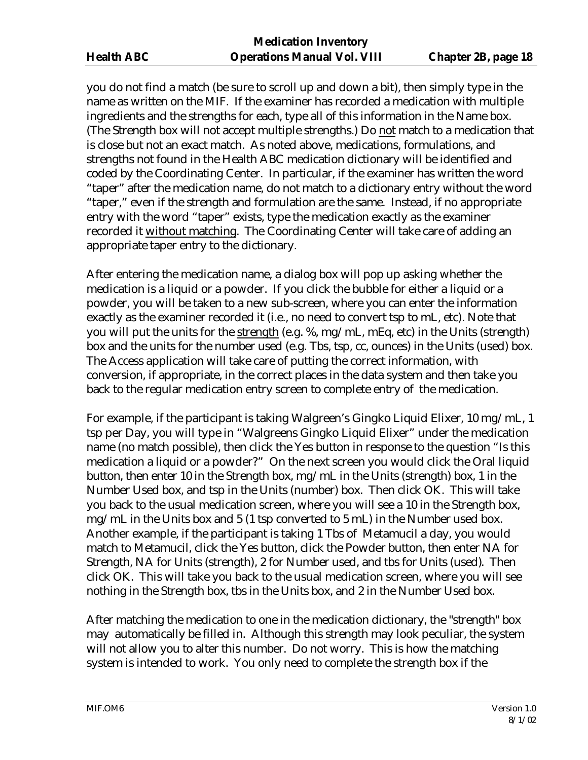you do not find a match (be sure to scroll up and down a bit), then simply type in the name as written on the MIF. If the examiner has recorded a medication with multiple ingredients and the strengths for each, type all of this information in the Name box. (The Strength box will not accept multiple strengths.) Do not match to a medication that is close but not an exact match. As noted above, medications, formulations, and strengths not found in the Health ABC medication dictionary will be identified and coded by the Coordinating Center. In particular, if the examiner has written the word "taper" after the medication name, do not match to a dictionary entry without the word "taper," even if the strength and formulation are the same. Instead, if no appropriate entry with the word "taper" exists, type the medication exactly as the examiner recorded it without matching. The Coordinating Center will take care of adding an appropriate taper entry to the dictionary.

After entering the medication name, a dialog box will pop up asking whether the medication is a liquid or a powder. If you click the bubble for either a liquid or a powder, you will be taken to a new sub-screen, where you can enter the information exactly as the examiner recorded it (i.e., no need to convert tsp to mL, etc). Note that you will put the units for the strength (e.g. %, mg/mL, mEq, etc) in the Units (strength) box and the units for the number used (e.g. Tbs, tsp, cc, ounces) in the Units (used) box. The Access application will take care of putting the correct information, with conversion, if appropriate, in the correct places in the data system and then take you back to the regular medication entry screen to complete entry of the medication.

For example, if the participant is taking Walgreen's Gingko Liquid Elixer, 10 mg/mL, 1 tsp per Day, you will type in "Walgreens Gingko Liquid Elixer" under the medication name (no match possible), then click the Yes button in response to the question "Is this medication a liquid or a powder?" On the next screen you would click the Oral liquid button, then enter 10 in the Strength box, mg/mL in the Units (strength) box, 1 in the Number Used box, and tsp in the Units (number) box. Then click OK. This will take you back to the usual medication screen, where you will see a 10 in the Strength box, mg/mL in the Units box and 5 (1 tsp converted to 5 mL) in the Number used box. Another example, if the participant is taking 1 Tbs of Metamucil a day, you would match to Metamucil, click the Yes button, click the Powder button, then enter NA for Strength, NA for Units (strength), 2 for Number used, and tbs for Units (used). Then click OK. This will take you back to the usual medication screen, where you will see nothing in the Strength box, tbs in the Units box, and 2 in the Number Used box.

After matching the medication to one in the medication dictionary, the "strength" box may automatically be filled in. Although this strength may look peculiar, the system will not allow you to alter this number. Do not worry. This is how the matching system is intended to work. You only need to complete the strength box if the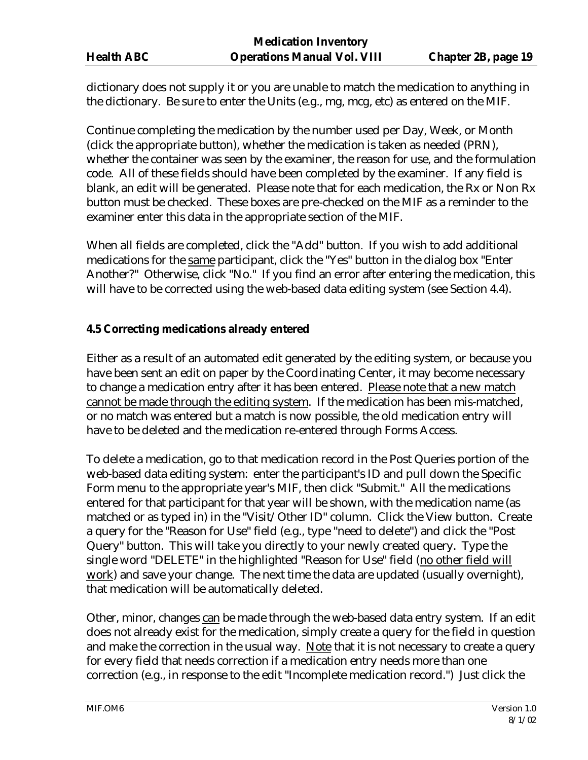dictionary does not supply it or you are unable to match the medication to anything in the dictionary. Be sure to enter the Units (e.g., mg, mcg, etc) as entered on the MIF.

Continue completing the medication by the number used per Day, Week, or Month (click the appropriate button), whether the medication is taken as needed (PRN), whether the container was seen by the examiner, the reason for use, and the formulation code. All of these fields should have been completed by the examiner. If any field is blank, an edit will be generated. Please note that for each medication, the Rx or Non Rx button must be checked. These boxes are pre-checked on the MIF as a reminder to the examiner enter this data in the appropriate section of the MIF.

When all fields are completed, click the "Add" button. If you wish to add additional medications for the same participant, click the "Yes" button in the dialog box "Enter Another?" Otherwise, click "No." If you find an error after entering the medication, this will have to be corrected using the web-based data editing system (see Section 4.4).

#### **4.5 Correcting medications already entered**

Either as a result of an automated edit generated by the editing system, or because you have been sent an edit on paper by the Coordinating Center, it may become necessary to change a medication entry after it has been entered. Please note that a new match cannot be made through the editing system. If the medication has been mis-matched, or no match was entered but a match is now possible, the old medication entry will have to be deleted and the medication re-entered through Forms Access.

To delete a medication, go to that medication record in the Post Queries portion of the web-based data editing system: enter the participant's ID and pull down the Specific Form menu to the appropriate year's MIF, then click "Submit." All the medications entered for that participant for that year will be shown, with the medication name (as matched or as typed in) in the "Visit/Other ID" column. Click the View button. Create a query for the "Reason for Use" field (e.g., type "need to delete") and click the "Post Query" button. This will take you directly to your newly created query. Type the single word "DELETE" in the highlighted "Reason for Use" field (no other field will work) and save your change. The next time the data are updated (usually overnight), that medication will be automatically deleted.

Other, minor, changes can be made through the web-based data entry system. If an edit does not already exist for the medication, simply create a query for the field in question and make the correction in the usual way. Note that it is not necessary to create a query for every field that needs correction if a medication entry needs more than one correction (e.g., in response to the edit "Incomplete medication record.") Just click the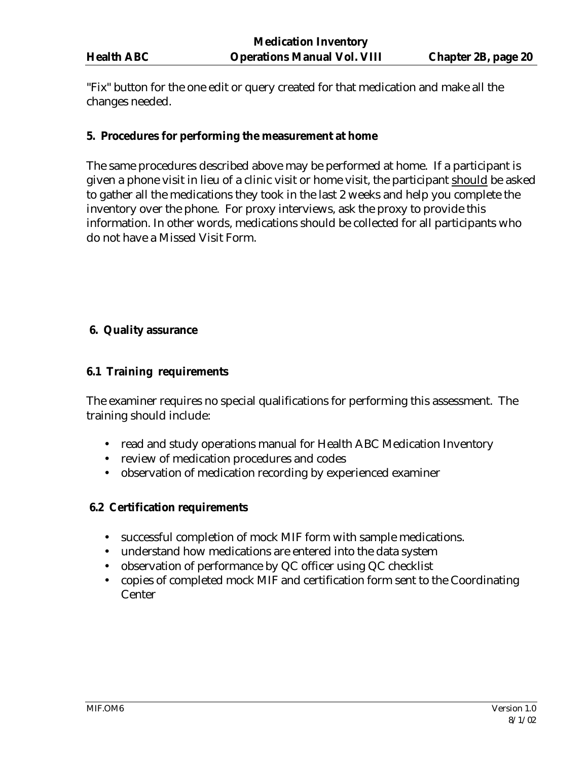"Fix" button for the one edit or query created for that medication and make all the changes needed.

# **5. Procedures for performing the measurement at home**

The same procedures described above may be performed at home. If a participant is given a phone visit in lieu of a clinic visit or home visit, the participant should be asked to gather all the medications they took in the last 2 weeks and help you complete the inventory over the phone. For proxy interviews, ask the proxy to provide this information. In other words, medications should be collected for all participants who do not have a Missed Visit Form.

# **6. Quality assurance**

#### **6.1 Training requirements**

The examiner requires no special qualifications for performing this assessment. The training should include:

- read and study operations manual for Health ABC Medication Inventory
- review of medication procedures and codes
- observation of medication recording by experienced examiner

#### **6.2 Certification requirements**

- successful completion of mock MIF form with sample medications.
- understand how medications are entered into the data system
- observation of performance by QC officer using QC checklist
- copies of completed mock MIF and certification form sent to the Coordinating Center